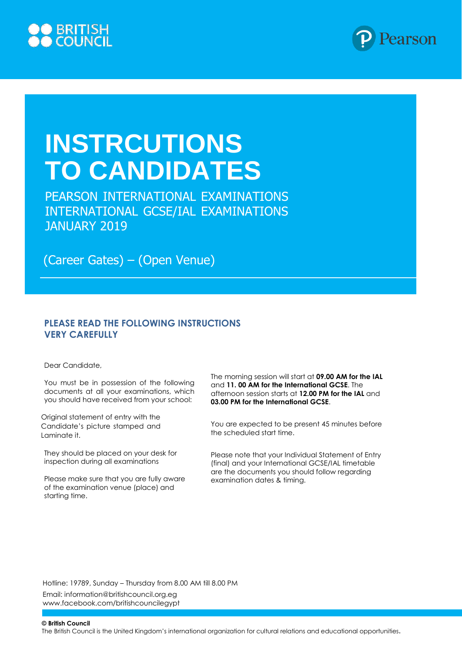



# **INSTRCUTIONS TO CANDIDATES**

PEARSON INTERNATIONAL EXAMINATIONS INTERNATIONAL GCSE/IAL EXAMINATIONS JANUARY 2019

(Career Gates) – (Open Venue)

## **PLEASE READ THE FOLLOWING INSTRUCTIONS VERY CAREFULLY**

Dear Candidate,

You must be in possession of the following documents at all your examinations, which you should have received from your school:

Original statement of entry with the Candidate's picture stamped and Laminate it.

They should be placed on your desk for inspection during all examinations

Please make sure that you are fully aware of the examination venue (place) and starting time.

The morning session will start at **09.00 AM for the IAL** and **11. 00 AM for the International GCSE**. The afternoon session starts at **12.00 PM for the IAL** and **03.00 PM for the International GCSE**.

You are expected to be present 45 minutes before the scheduled start time.

Please note that your Individual Statement of Entry (final) and your International GCSE/IAL timetable are the documents you should follow regarding examination dates & timing.

Hotline: 19789, Sunday – Thursday from 8.00 AM till 8.00 PM

Email: [information@britishcouncil.org.eg](mailto:information@britishcouncil.org.eg) [www.facebook.com/britishcouncilegypt](http://www.facebook.com/britishcouncilegypt)

**© British Council**

The British Council is the United Kingdom's international organization for cultural relations and educational opportunities.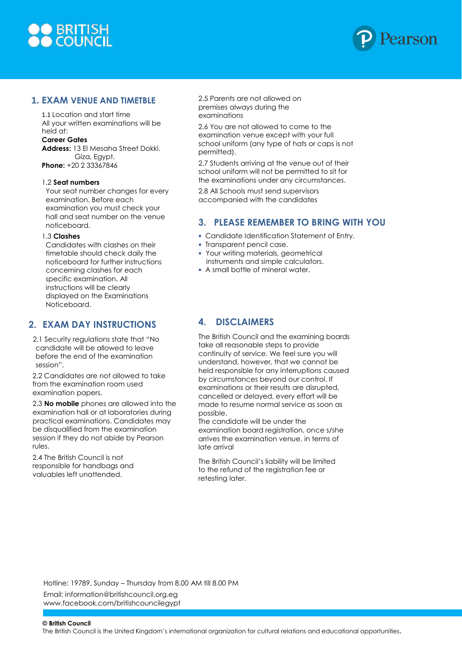



### **1. EXAM VENUE AND TIMETBLE**

1.1 Location and start time All your written examinations will be held at:

#### **Career Gates**

**Address:** 13 El Mesaha Street Dokki. Giza, Egypt. **Phone:** +20 2 33367846

#### 1.2 **Seat numbers**

Your seat number changes for every examination. Before each examination you must check your hall and seat number on the venue noticeboard.

#### 1.3 **Clashes**

Candidates with clashes on their timetable should check daily the noticeboard for further instructions concerning clashes for each specific examination. All instructions will be clearly displayed on the Examinations Noticeboard.

## **2. EXAM DAY INSTRUCTIONS**

2.1 Security regulations state that "No candidate will be allowed to leave before the end of the examination session".

2.2 Candidates are not allowed to take from the examination room used examination papers.

2.3 **No mobile** phones are allowed into the examination hall or at laboratories during practical examinations. Candidates may be disqualified from the examination session if they do not abide by Pearson rules.

2.4 The British Council is not responsible for handbags and valuables left unattended.

2.5 Parents are not allowed on premises always during the examinations

2.6 You are not allowed to come to the examination venue except with your full school uniform (any type of hats or caps is not permitted).

2.7 Students arriving at the venue out of their school uniform will not be permitted to sit for the examinations under any circumstances.

2.8 All Schools must send supervisors accompanied with the candidates

## **3. PLEASE REMEMBER TO BRING WITH YOU**

- Candidate Identification Statement of Entry.
- Transparent pencil case.
- Your writing materials, geometrical instruments and simple calculators.
- A small bottle of mineral water.

# **4. DISCLAIMERS**

The British Council and the examining boards take all reasonable steps to provide continuity of service. We feel sure you will understand, however, that we cannot be held responsible for any interruptions caused by circumstances beyond our control. If examinations or their results are disrupted, cancelled or delayed, every effort will be made to resume normal service as soon as possible.

The candidate will be under the examination board registration, once s/she arrives the examination venue, in terms of late arrival

The British Council's liability will be limited to the refund of the registration fee or retesting later.

Hotline: 19789, Sunday – Thursday from 8.00 AM till 8.00 PM

Email: [information@britishcouncil.org.eg](mailto:information@britishcouncil.org.eg) [www.facebook.com/britishcouncilegypt](http://www.facebook.com/britishcouncilegypt)

**© British Council**

The British Council is the United Kingdom's international organization for cultural relations and educational opportunities.